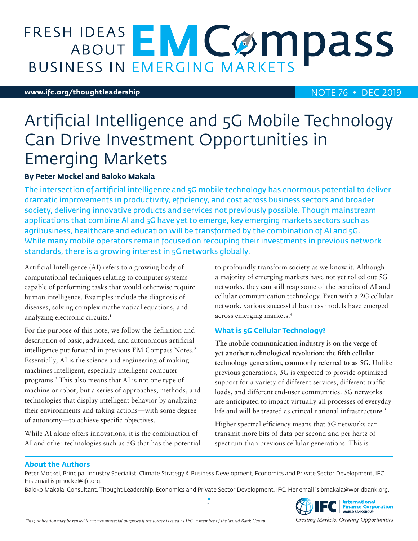# ABOUT EM COMPASS **BUSINESS IN EMERGING MARKETS**

#### **www.ifc.org/thoughtleadership** NOTE 76 • DEC 2019

## Artificial Intelligence and 5G Mobile Technology Can Drive Investment Opportunities in Emerging Markets

#### **By Peter Mockel and Baloko Makala**

The intersection of artificial intelligence and 5G mobile technology has enormous potential to deliver dramatic improvements in productivity, efficiency, and cost across business sectors and broader society, delivering innovative products and services not previously possible. Though mainstream applications that combine AI and 5G have yet to emerge, key emerging markets sectors such as agribusiness, healthcare and education will be transformed by the combination of AI and 5G. While many mobile operators remain focused on recouping their investments in previous network standards, there is a growing interest in 5G networks globally.

Artificial Intelligence (AI) refers to a growing body of computational techniques relating to computer systems capable of performing tasks that would otherwise require human intelligence. Examples include the diagnosis of diseases, solving complex mathematical equations, and analyzing electronic circuits.1

For the purpose of this note, we follow the definition and description of basic, advanced, and autonomous artificial intelligence put forward in previous EM Compass Notes.<sup>2</sup> Essentially, AI is the science and engineering of making machines intelligent, especially intelligent computer programs.3 This also means that AI is not one type of machine or robot, but a series of approaches, methods, and technologies that display intelligent behavior by analyzing their environments and taking actions—with some degree of autonomy—to achieve specific objectives.

While AI alone offers innovations, it is the combination of AI and other technologies such as 5G that has the potential to profoundly transform society as we know it. Although a majority of emerging markets have not yet rolled out 5G networks, they can still reap some of the benefits of AI and cellular communication technology. Even with a 2G cellular network, various successful business models have emerged across emerging markets.4

#### **What is 5G Cellular Technology?**

**The mobile communication industry is on the verge of yet another technological revolution: the fifth cellular technology generation, commonly referred to as 5G.** Unlike previous generations, 5G is expected to provide optimized support for a variety of different services, different traffic loads, and different end-user communities. 5G networks are anticipated to impact virtually all processes of everyday life and will be treated as critical national infrastructure.<sup>5</sup>

Higher spectral efficiency means that 5G networks can transmit more bits of data per second and per hertz of spectrum than previous cellular generations. This is

#### **About the Authors**

Peter Mockel, Principal Industry Specialist, Climate Strategy & Business Development, Economics and Private Sector Development, IFC. His email is pmockel@ifc.org.

Baloko Makala, Consultant, Thought Leadership, Economics and Private Sector Development, IFC. Her email is bmakala@worldbank.org.

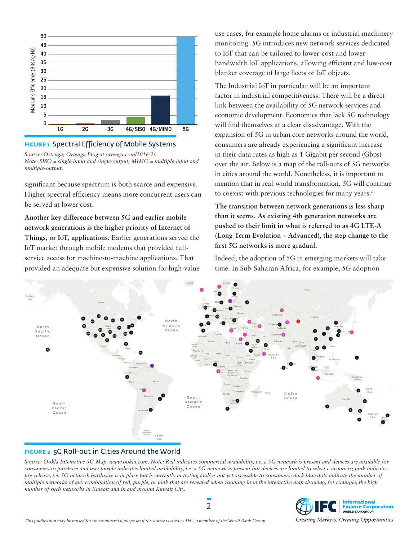

#### **FIGURE 1** Spectral Efficiency of Mobile Systems

*Source: Ortenga; Ortenga Blog at ortenga.com/2016-2/. Note: SISO = single-input and single-output; MIMO = multiple-input and multiple-output.*

significant because spectrum is both scarce and expensive. Higher spectral efficiency means more concurrent users can be served at lower cost.

**Another key difference between 5G and earlier mobile network generations is the higher priority of Internet of Things, or IoT, applications.** Earlier generations served the IoT market through mobile modems that provided fullservice access for machine-to-machine applications. That provided an adequate but expensive solution for high-value use cases, for example home alarms or industrial machinery monitoring. 5G introduces new network services dedicated to IoT that can be tailored to lower-cost and lowerbandwidth IoT applications, allowing efficient and low-cost blanket coverage of large fleets of IoT objects.

The Industrial IoT in particular will be an important factor in industrial competitiveness. There will be a direct link between the availability of 5G network services and economic development. Economies that lack 5G technology will find themselves at a clear disadvantage. With the expansion of 5G in urban core networks around the world, consumers are already experiencing a significant increase in their data rates as high as 1 Gigabit per second (Gbps) over the air. Below is a map of the roll-outs of 5G networks in cities around the world. Nonetheless, it is important to mention that in real-world transformation, 5G will continue to coexist with previous technologies for many years.<sup>6</sup>

**The transition between network generations is less sharp than it seems. As existing 4th generation networks are pushed to their limit in what is referred to as 4G LTE-A (Long Term Evolution – Advanced), the step change to the first 5G networks is more gradual.** 

Indeed, the adoption of 5G in emerging markets will take time. In Sub-Saharan Africa, for example, 5G adoption



#### **FIGURE 2** 5G Roll-out in Cities Around the World

*Source: Ookla Interactive 5G Map. www.ookla.com. Note: Red indicates commercial availability, i.e. a 5G network is present and devices are available for consumers to purchase and use; purple indicates limited availability, i.e. a 5G network is present but devices are limited to select consumers; pink indicates pre-release, i.e. 5G network hardware is in place but is currently in testing and/or not yet accessible to consumers; dark blue dots indicate the number of multiple networks of any combination of red, purple, or pink that are revealed when zooming in in the interactive map showing, for example, the high number of such networks in Kuwait and in and around Kuwait City.*

2



Creating Markets, Creating Opportunities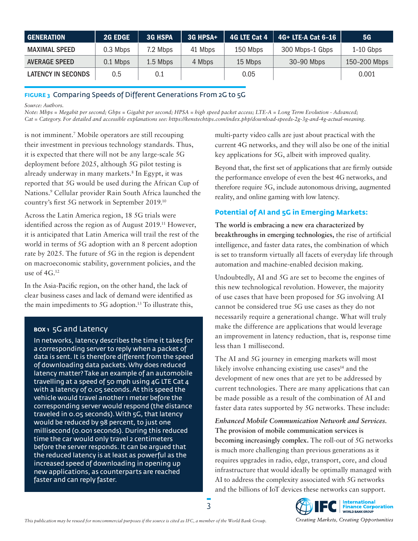| <b>GENERATION</b>    | <b>2G EDGE</b> | <b>3G HSPA</b> | 3G HPSA+ |          | 4G LTE Cat 4 $\parallel$ 4G+ LTE-A Cat 6-16 | <b>5G</b>    |
|----------------------|----------------|----------------|----------|----------|---------------------------------------------|--------------|
| <b>MAXIMAL SPEED</b> | 0.3 Mbps       | 7.2 Mbps       | 41 Mbps  | 150 Mbps | 300 Mbps-1 Gbps                             | $1-10$ Gbps  |
| <b>AVERAGE SPEED</b> | 0.1 Mbps       | 1.5 Mbps       | 4 Mbps   | 15 Mbps  | 30-90 Mbps                                  | 150-200 Mbps |
| LATENCY IN SECONDS   | 0.5            | 0.1            |          | 0.05     |                                             | 0.001        |

#### **FIGURE 3** Comparing Speeds of Different Generations From 2G to 5G

*Source: Authors.*

*Note: Mbps = Megabit per second; Gbps = Gigabit per second; HPSA = high speed packet access; LTE-A = Long Term Evolution - Advanced; Cat = Category. For detailed and accessible explanations see: https://kenstechtips.com/index.php/download-speeds-2g-3g-and-4g-actual-meaning.*

is not imminent.7 Mobile operators are still recouping their investment in previous technology standards. Thus, it is expected that there will not be any large-scale 5G deployment before 2025, although 5G pilot testing is already underway in many markets.8 In Egypt, it was reported that 5G would be used during the African Cup of Nations.9 Cellular provider Rain South Africa launched the country's first 5G network in September 2019.10

Across the Latin America region, 18 5G trials were identified across the region as of August 2019.11 However, it is anticipated that Latin America will trail the rest of the world in terms of 5G adoption with an 8 percent adoption rate by 2025. The future of 5G in the region is dependent on macroeconomic stability, government policies, and the use of  $4G^{12}$ 

In the Asia-Pacific region, on the other hand, the lack of clear business cases and lack of demand were identified as the main impediments to 5G adoption.13 To illustrate this,

#### **BOX 1** 5G and Latency

In networks, latency describes the time it takes for a corresponding server to reply when a packet of data is sent. It is therefore different from the speed of downloading data packets. Why does reduced latency matter? Take an example of an automobile travelling at a speed of 50 mph using 4G LTE Cat 4 with a latency of 0.05 seconds. At this speed the vehicle would travel another 1 meter before the corresponding server would respond (the distance traveled in 0.05 seconds). With 5G, that latency would be reduced by 98 percent, to just one millisecond (0.001 seconds). During this reduced time the car would only travel 2 centimeters before the server responds. It can be argued that the reduced latency is at least as powerful as the increased speed of downloading in opening up new applications, as counterparts are reached faster and can reply faster.

multi-party video calls are just about practical with the current 4G networks, and they will also be one of the initial key applications for 5G, albeit with improved quality.

Beyond that, the first set of applications that are firmly outside the performance envelope of even the best 4G networks, and therefore require 5G, include autonomous driving, augmented reality, and online gaming with low latency.

#### **Potential of AI and 5G in Emerging Markets:**

**The world is embracing a new era characterized by breakthroughs in emerging technologies,** the rise of artificial intelligence, and faster data rates, the combination of which is set to transform virtually all facets of everyday life through automation and machine-enabled decision making.

Undoubtedly, AI and 5G are set to become the engines of this new technological revolution. However, the majority of use cases that have been proposed for 5G involving AI cannot be considered true 5G use cases as they do not necessarily require a generational change. What will truly make the difference are applications that would leverage an improvement in latency reduction, that is, response time less than 1 millisecond.

The AI and 5G journey in emerging markets will most likely involve enhancing existing use  $\text{cases}^{14}$  and the development of new ones that are yet to be addressed by current technologies. There are many applications that can be made possible as a result of the combination of AI and faster data rates supported by 5G networks. These include:

*Enhanced Mobile Communication Network and Services.*  **The provision of mobile communication services is becoming increasingly complex.** The roll-out of 5G networks is much more challenging than previous generations as it requires upgrades in radio, edge, transport, core, and cloud infrastructure that would ideally be optimally managed with AI to address the complexity associated with 5G networks and the billions of IoT devices these networks can support.

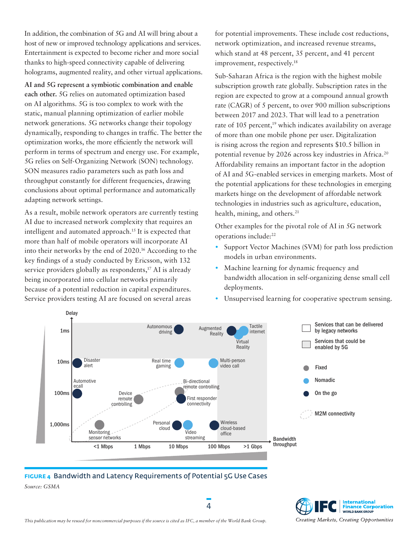In addition, the combination of 5G and AI will bring about a host of new or improved technology applications and services. Entertainment is expected to become richer and more social thanks to high-speed connectivity capable of delivering holograms, augmented reality, and other virtual applications.

**AI and 5G represent a symbiotic combination and enable each other.** 5G relies on automated optimization based on AI algorithms. 5G is too complex to work with the static, manual planning optimization of earlier mobile network generations. 5G networks change their topology dynamically, responding to changes in traffic. The better the optimization works, the more efficiently the network will perform in terms of spectrum and energy use. For example, 5G relies on Self-Organizing Network (SON) technology. SON measures radio parameters such as path loss and throughput constantly for different frequencies, drawing conclusions about optimal performance and automatically adapting network settings.

As a result, mobile network operators are currently testing AI due to increased network complexity that requires an intelligent and automated approach.<sup>15</sup> It is expected that more than half of mobile operators will incorporate AI into their networks by the end of 2020.16 According to the key findings of a study conducted by Ericsson, with 132 service providers globally as respondents, $^{17}$  AI is already being incorporated into cellular networks primarily because of a potential reduction in capital expenditures. Service providers testing AI are focused on several areas

for potential improvements. These include cost reductions, network optimization, and increased revenue streams, which stand at 48 percent, 35 percent, and 41 percent improvement, respectively.18

Sub-Saharan Africa is the region with the highest mobile subscription growth rate globally. Subscription rates in the region are expected to grow at a compound annual growth rate (CAGR) of 5 percent, to over 900 million subscriptions between 2017 and 2023. That will lead to a penetration rate of 105 percent,<sup>19</sup> which indicates availability on average of more than one mobile phone per user. Digitalization is rising across the region and represents \$10.5 billion in potential revenue by 2026 across key industries in Africa.20 Affordability remains an important factor in the adoption of AI and 5G-enabled services in emerging markets. Most of the potential applications for these technologies in emerging markets hinge on the development of affordable network technologies in industries such as agriculture, education, health, mining, and others.<sup>21</sup>

Other examples for the pivotal role of AI in 5G network operations include:22

- **•** Support Vector Machines (SVM) for path loss prediction models in urban environments.
- **•** Machine learning for dynamic frequency and bandwidth allocation in self-organizing dense small cell deployments.
- **•** Unsupervised learning for cooperative spectrum sensing.



#### **FIGURE 4** Bandwidth and Latency Requirements of Potential 5G Use Cases *Source: GSMA*

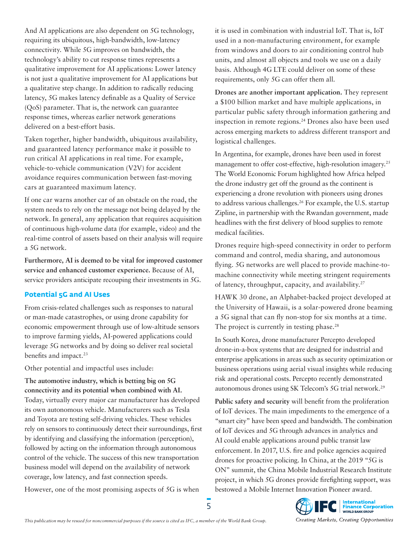And AI applications are also dependent on 5G technology, requiring its ubiquitous, high-bandwidth, low-latency connectivity. While 5G improves on bandwidth, the technology's ability to cut response times represents a qualitative improvement for AI applications: Lower latency is not just a qualitative improvement for AI applications but a qualitative step change. In addition to radically reducing latency, 5G makes latency definable as a Quality of Service (QoS) parameter. That is, the network can guarantee response times, whereas earlier network generations delivered on a best-effort basis.

Taken together, higher bandwidth, ubiquitous availability, and guaranteed latency performance make it possible to run critical AI applications in real time. For example, vehicle-to-vehicle communication (V2V) for accident avoidance requires communication between fast-moving cars at guaranteed maximum latency.

If one car warns another car of an obstacle on the road, the system needs to rely on the message not being delayed by the network. In general, any application that requires acquisition of continuous high-volume data (for example, video) and the real-time control of assets based on their analysis will require a 5G network.

**Furthermore, AI is deemed to be vital for improved customer service and enhanced customer experience.** Because of AI, service providers anticipate recouping their investments in 5G.

#### **Potential 5G and AI Uses**

From crisis-related challenges such as responses to natural or man-made catastrophes, or using drone capability for economic empowerment through use of low-altitude sensors to improve farming yields, AI-powered applications could leverage 5G networks and by doing so deliver real societal benefits and impact.<sup>23</sup>

Other potential and impactful uses include:

**The automotive industry, which is betting big on 5G connectivity and its potential when combined with AI.** Today, virtually every major car manufacturer has developed its own autonomous vehicle. Manufacturers such as Tesla and Toyota are testing self-driving vehicles. These vehicles rely on sensors to continuously detect their surroundings, first by identifying and classifying the information (perception), followed by acting on the information through autonomous control of the vehicle. The success of this new transportation business model will depend on the availability of network coverage, low latency, and fast connection speeds.

However, one of the most promising aspects of 5G is when

it is used in combination with industrial IoT. That is, IoT used in a non-manufacturing environment, for example from windows and doors to air conditioning control hub units, and almost all objects and tools we use on a daily basis. Although 4G LTE could deliver on some of these requirements, only 5G can offer them all.

**Drones are another important application.** They represent a \$100 billion market and have multiple applications, in particular public safety through information gathering and inspection in remote regions.24 Drones also have been used across emerging markets to address different transport and logistical challenges.

In Argentina, for example, drones have been used in forest management to offer cost-effective, high-resolution imagery.<sup>25</sup> The World Economic Forum highlighted how Africa helped the drone industry get off the ground as the continent is experiencing a drone revolution with pioneers using drones to address various challenges.<sup>26</sup> For example, the U.S. startup Zipline, in partnership with the Rwandan government, made headlines with the first delivery of blood supplies to remote medical facilities.

Drones require high-speed connectivity in order to perform command and control, media sharing, and autonomous flying. 5G networks are well placed to provide machine-tomachine connectivity while meeting stringent requirements of latency, throughput, capacity, and availability.27

HAWK 30 drone, an Alphabet-backed project developed at the University of Hawaii, is a solar-powered drone beaming a 5G signal that can fly non-stop for six months at a time. The project is currently in testing phase.<sup>28</sup>

In South Korea, drone manufacturer Percepto developed drone-in-a-box systems that are designed for industrial and enterprise applications in areas such as security optimization or business operations using aerial visual insights while reducing risk and operational costs. Percepto recently demonstrated autonomous drones using SK Telecom's 5G trial network.29

**Public safety and security** will benefit from the proliferation of IoT devices. The main impediments to the emergence of a "smart city" have been speed and bandwidth. The combination of IoT devices and 5G through advances in analytics and AI could enable applications around public transit law enforcement. In 2017, U.S. fire and police agencies acquired drones for proactive policing. In China, at the 2019 "5G is ON" summit, the China Mobile Industrial Research Institute project, in which 5G drones provide firefighting support, was bestowed a Mobile Internet Innovation Pioneer award.

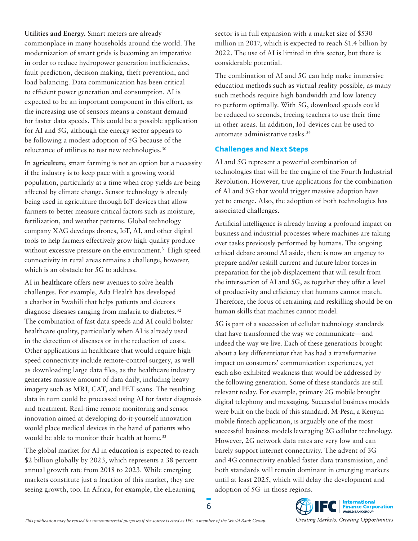**Utilities and Energy.** Smart meters are already commonplace in many households around the world. The modernization of smart grids is becoming an imperative in order to reduce hydropower generation inefficiencies, fault prediction, decision making, theft prevention, and load balancing. Data communication has been critical to efficient power generation and consumption. AI is expected to be an important component in this effort, as the increasing use of sensors means a constant demand for faster data speeds. This could be a possible application for AI and 5G, although the energy sector appears to be following a modest adoption of 5G because of the reluctance of utilities to test new technologies.<sup>30</sup>

In **agriculture**, smart farming is not an option but a necessity if the industry is to keep pace with a growing world population, particularly at a time when crop yields are being affected by climate change. Sensor technology is already being used in agriculture through IoT devices that allow farmers to better measure critical factors such as moisture, fertilization, and weather patterns. Global technology company XAG develops drones, IoT, AI, and other digital tools to help farmers effectively grow high-quality produce without excessive pressure on the environment.<sup>31</sup> High speed connectivity in rural areas remains a challenge, however, which is an obstacle for 5G to address.

AI in **healthcare** offers new avenues to solve health challenges. For example, Ada Health has developed a chatbot in Swahili that helps patients and doctors diagnose diseases ranging from malaria to diabetes.<sup>32</sup> The combination of fast data speeds and AI could bolster healthcare quality, particularly when AI is already used in the detection of diseases or in the reduction of costs. Other applications in healthcare that would require highspeed connectivity include remote-control surgery, as well as downloading large data files, as the healthcare industry generates massive amount of data daily, including heavy imagery such as MRI, CAT, and PET scans. The resulting data in turn could be processed using AI for faster diagnosis and treatment. Real-time remote monitoring and sensor innovation aimed at developing do-it-yourself innovation would place medical devices in the hand of patients who would be able to monitor their health at home.<sup>33</sup>

The global market for AI in **education** is expected to reach \$2 billion globally by 2023, which represents a 38 percent annual growth rate from 2018 to 2023. While emerging markets constitute just a fraction of this market, they are seeing growth, too. In Africa, for example, the eLearning

sector is in full expansion with a market size of \$530 million in 2017, which is expected to reach \$1.4 billion by 2022. The use of AI is limited in this sector, but there is considerable potential.

The combination of AI and 5G can help make immersive education methods such as virtual reality possible, as many such methods require high bandwidth and low latency to perform optimally. With 5G, download speeds could be reduced to seconds, freeing teachers to use their time in other areas. In addition, IoT devices can be used to automate administrative tasks.34

#### **Challenges and Next Steps**

AI and 5G represent a powerful combination of technologies that will be the engine of the Fourth Industrial Revolution. However, true applications for the combination of AI and 5G that would trigger massive adoption have yet to emerge. Also, the adoption of both technologies has associated challenges.

Artificial intelligence is already having a profound impact on business and industrial processes where machines are taking over tasks previously performed by humans. The ongoing ethical debate around AI aside, there is now an urgency to prepare and/or reskill current and future labor forces in preparation for the job displacement that will result from the intersection of AI and 5G, as together they offer a level of productivity and efficiency that humans cannot match. Therefore, the focus of retraining and reskilling should be on human skills that machines cannot model.

5G is part of a succession of cellular technology standards that have transformed the way we communicate—and indeed the way we live. Each of these generations brought about a key differentiator that has had a transformative impact on consumers' communication experiences, yet each also exhibited weakness that would be addressed by the following generation. Some of these standards are still relevant today. For example, primary 2G mobile brought digital telephony and messaging. Successful business models were built on the back of this standard. M-Pesa, a Kenyan mobile fintech application, is arguably one of the most successful business models leveraging 2G cellular technology. However, 2G network data rates are very low and can barely support internet connectivity. The advent of 3G and 4G connectivity enabled faster data transmission, and both standards will remain dominant in emerging markets until at least 2025, which will delay the development and adoption of 5G in those regions.

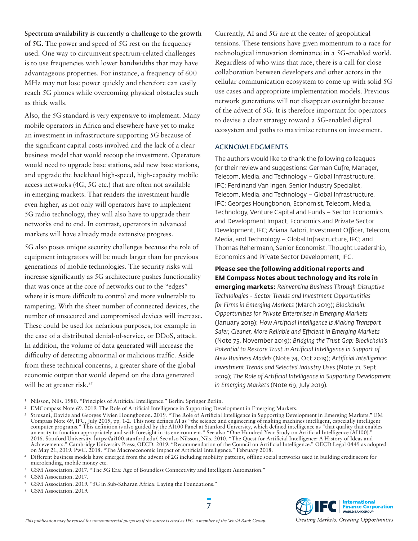**Spectrum availability is currently a challenge to the growth of 5G.** The power and speed of 5G rest on the frequency used. One way to circumvent spectrum-related challenges is to use frequencies with lower bandwidths that may have advantageous properties. For instance, a frequency of 600 MHz may not lose power quickly and therefore can easily reach 5G phones while overcoming physical obstacles such as thick walls.

Also, the 5G standard is very expensive to implement. Many mobile operators in Africa and elsewhere have yet to make an investment in infrastructure supporting 5G because of the significant capital costs involved and the lack of a clear business model that would recoup the investment. Operators would need to upgrade base stations, add new base stations, and upgrade the backhaul high-speed, high-capacity mobile access networks (4G, 5G etc.) that are often not available in emerging markets. That renders the investment hurdle even higher, as not only will operators have to implement 5G radio technology, they will also have to upgrade their networks end to end. In contrast, operators in advanced markets will have already made extensive progress.

5G also poses unique security challenges because the role of equipment integrators will be much larger than for previous generations of mobile technologies. The security risks will increase significantly as 5G architecture pushes functionality that was once at the core of networks out to the "edges" where it is more difficult to control and more vulnerable to tampering. With the sheer number of connected devices, the number of unsecured and compromised devices will increase. These could be used for nefarious purposes, for example in the case of a distributed denial-of-service, or DDoS, attack. In addition, the volume of data generated will increase the difficulty of detecting abnormal or malicious traffic. Aside from these technical concerns, a greater share of the global economic output that would depend on the data generated will be at greater risk.<sup>35</sup>

Currently, AI and 5G are at the center of geopolitical tensions. These tensions have given momentum to a race for technological innovation dominance in a 5G-enabled world. Regardless of who wins that race, there is a call for close collaboration between developers and other actors in the cellular communication ecosystem to come up with solid 5G use cases and appropriate implementation models. Previous network generations will not disappear overnight because of the advent of 5G. It is therefore important for operators to devise a clear strategy toward a 5G-enabled digital ecosystem and paths to maximize returns on investment.

#### ACKNOWLEDGMENTS

The authors would like to thank the following colleagues for their review and suggestions: German Cufre, Manager, Telecom, Media, and Technology – Global Infrastructure, IFC; Ferdinand Van Ingen, Senior Industry Specialist, Telecom, Media, and Technology – Global Infrastructure, IFC; Georges Houngbonon, Economist, Telecom, Media, Technology, Venture Capital and Funds – Sector Economics and Development Impact, Economics and Private Sector Development, IFC; Ariana Batori, Investment Officer, Telecom, Media, and Technology – Global Infrastructure, IFC; and Thomas Rehermann, Senior Economist, Thought Leadership, Economics and Private Sector Development, IFC.

**Please see the following additional reports and EM Compass Notes about technology and its role in emerging markets:** *Reinventing Business Through Disruptive Technologies - Sector Trends and Investment Opportunities for Firms in Emerging Markets* (March 2019); *Blockchain: Opportunities for Private Enterprises in Emerging Markets*  (January 2019); *How Artificial Intelligence is Making Transport Safer, Cleaner, More Reliable and Efficient in Emerging Markets*  (Note 75, November 2019); *Bridging the Trust Gap: Blockchain's Potential to Restore Trust in Artificial Intelligence in Support of New Business Models* (Note 74, Oct 2019); *Artificial Intelligence: Investment Trends and Selected Industry Uses* (Note 71, Sept 2019); *The Role of Artificial Intelligence in Supporting Development in Emerging Markets* (Note 69, July 2019).

<sup>6</sup> GSM Association. 2017.



Creating Markets, Creating Opportunities

<sup>1</sup> Nilsson, Nils. 1980. "Principles of Artificial Intelligence." Berlin: Springer Berlin.

<sup>2</sup> EMCompass Note 69. 2019. The Role of Artificial Intelligence in Supporting Development in Emerging Markets.

<sup>3</sup> Strusani, Davide and Georges Vivien Houngbonon. 2019. "The Role of Artificial Intelligence in Supporting Development in Emerging Markets." EM Compass Note 69, IFC, July 2019, pp. 1-2. This note defines AI as "the science and engineering of making machines intelligent, especially intelligent computer programs." This definition is also guided by the AI100 Panel at Stanford University, which defined intelligence as "that quality that enables an entity to function appropriately and with foresight in its environment." See also "One Hundred Year Study on Artificial Intelligence (AI100)." 2016. Stanford University. https://ai100.stanford.edu/. See also Nilsson, Nils. 2010. "The Quest for Artificial Intelligence: A History of Ideas and Achievements." Cambridge University Press; OECD. 2019. "Recommendation of the Council on Artificial Intelligence." OECD Legal 0449 as adopted on May 21, 2019. PwC. 2018. "The Macroeconomic Impact of Artificial Intelligence." February 2018.

<sup>4</sup> Different business models have emerged from the advent of 2G including mobility patterns, offline social networks used in building credit score for microlending, mobile money etc.

<sup>5</sup> GSM Association. 2017. "The 5G Era: Age of Boundless Connectivity and Intelligent Automation."

<sup>7</sup> GSM Association. 2019. "5G in Sub-Saharan Africa: Laying the Foundations."

<sup>8</sup> GSM Association. 2019.